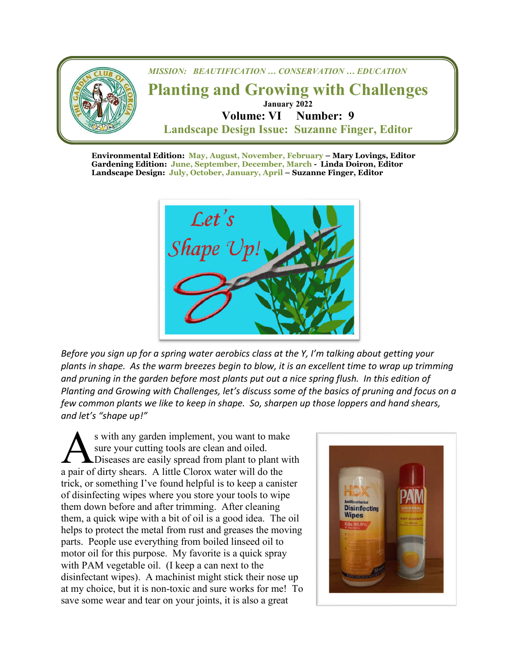

**Environmental Edition: May, August, November, February – Mary Lovings, Editor Gardening Edition: June, September, December, March - Linda Doiron, Editor Landscape Design: July, October, January, April – Suzanne Finger, Editor**



 *Before you sign up for a spring water aerobics class at the Y, I'm talking about getting your plants in shape. As the warm breezes begin to blow, it is an excellent time to wrap up trimming and pruning in the garden before most plants put out a nice spring flush. In this edition of Planting and Growing with Challenges, let's discuss some of the basics of pruning and focus on a few common plants we like to keep in shape. So, sharpen up those loppers and hand shears, and let's "shape up!"*

s with any garden implement, you want to make sure your cutting tools are clean and oiled. **L** Diseases are easily spread from plant to plant with s with any garden implement, you want to mak<br>sure your cutting tools are clean and oiled.<br>Diseases are easily spread from plant to plant v<br>a pair of dirty shears. A little Clorox water will do the trick, or something I've found helpful is to keep a canister of disinfecting wipes where you store your tools to wipe them down before and after trimming. After cleaning them, a quick wipe with a bit of oil is a good idea. The oil helps to protect the metal from rust and greases the moving parts. People use everything from boiled linseed oil to motor oil for this purpose. My favorite is a quick spray with PAM vegetable oil. (I keep a can next to the disinfectant wipes). A machinist might stick their nose up at my choice, but it is non-toxic and sure works for me! To save some wear and tear on your joints, it is also a great

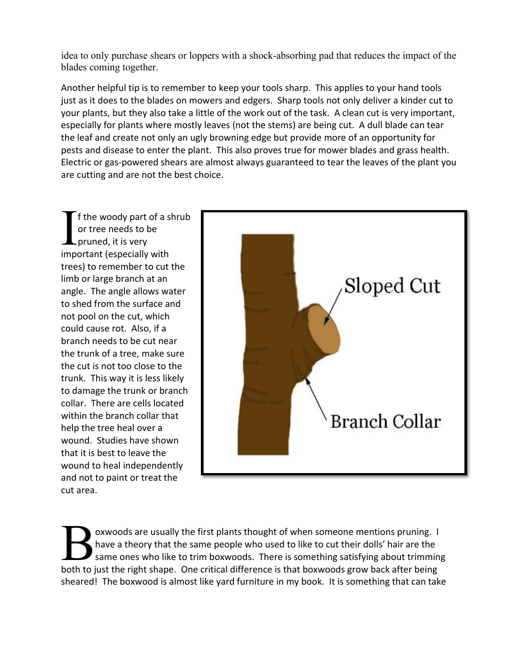idea to only purchase shears or loppers with a shock-absorbing pad that reduces the impact of the blades coming together.

Another helpful tip is to remember to keep your tools sharp. This applies to your hand tools just as it does to the blades on mowers and edgers. Sharp tools not only deliver a kinder cut to your plants, but they also take a little of the work out of the task. A clean cut is very important, especially for plants where mostly leaves (not the stems) are being cut. A dull blade can tear the leaf and create not only an ugly browning edge but provide more of an opportunity for pests and disease to enter the plant. This also proves true for mower blades and grass health. Electric or gas-powered shears are almost always guaranteed to tear the leaves of the plant you are cutting and are not the best choice.

f the woody part of a shrub or tree needs to be pruned, it is very If the woody part of a s<br>
or tree needs to be<br>
pruned, it is very<br>
important (especially with trees) to remember to cut the limb or large branch at an angle. The angle allows water to shed from the surface and not pool on the cut, which could cause rot. Also, if a branch needs to be cut near the trunk of a tree, make sure the cut is not too close to the trunk. This way it is less likely to damage the trunk or branch collar. There are cells located within the branch collar that help the tree heal over a wound. Studies have shown that it is best to leave the wound to heal independently and not to paint or treat the cut area.



oxwoods are usually the first plants thought of when someone mentions pruning. I have a theory that the same people who used to like to cut their dolls' hair are the same ones who like to trim boxwoods. There is something satisfying about trimming Boxwoods are usually the first plants thought of when someone mentions pruning. I<br>have a theory that the same people who used to like to cut their dolls' hair are the<br>same ones who like to trim boxwoods. There is something sheared! The boxwood is almost like yard furniture in my book. It is something that can take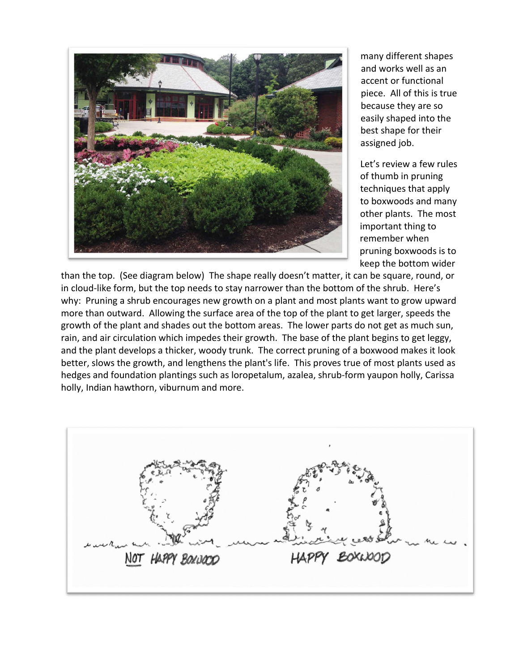

many different shapes and works well as an accent or functional piece. All of this is true because they are so easily shaped into the best shape for their assigned job.

Let's review a few rules of thumb in pruning techniques that apply to boxwoods and many other plants. The most important thing to remember when pruning boxwoods is to keep the bottom wider

than the top. (See diagram below) The shape really doesn't matter, it can be square, round, or in cloud-like form, but the top needs to stay narrower than the bottom of the shrub. Here's why: Pruning a shrub encourages new growth on a plant and most plants want to grow upward more than outward. Allowing the surface area of the top of the plant to get larger, speeds the growth of the plant and shades out the bottom areas. The lower parts do not get as much sun, rain, and air circulation which impedes their growth. The base of the plant begins to get leggy, and the plant develops a thicker, woody trunk. The correct pruning of a boxwood makes it look better, slows the growth, and lengthens the plant's life. This proves true of most plants used as hedges and foundation plantings such as loropetalum, azalea, shrub-form yaupon holly, Carissa holly, Indian hawthorn, viburnum and more.

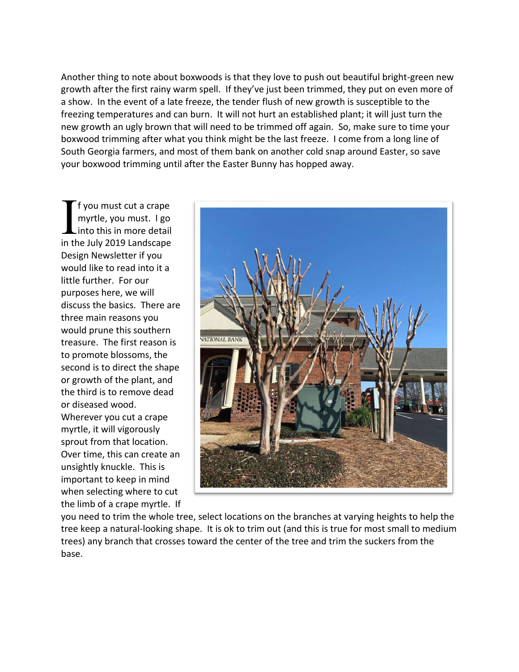Another thing to note about boxwoods is that they love to push out beautiful bright-green new growth after the first rainy warm spell. If they've just been trimmed, they put on even more of a show. In the event of a late freeze, the tender flush of new growth is susceptible to the freezing temperatures and can burn. It will not hurt an established plant; it will just turn the new growth an ugly brown that will need to be trimmed off again. So, make sure to time your boxwood trimming after what you think might be the last freeze. I come from a long line of South Georgia farmers, and most of them bank on another cold snap around Easter, so save your boxwood trimming until after the Easter Bunny has hopped away.

f you must cut a crape myrtle, you must. I go into this in more detail If you must cut a crape<br>
myrtle, you must. I go<br>
into this in more detail<br>
in the July 2019 Landscape Design Newsletter if you would like to read into it a little further. For our purposes here, we will discuss the basics. There are three main reasons you would prune this southern treasure. The first reason is to promote blossoms, the second is to direct the shape or growth of the plant, and the third is to remove dead or diseased wood. Wherever you cut a crape myrtle, it will vigorously sprout from that location. Over time, this can create an unsightly knuckle. This is important to keep in mind when selecting where to cut the limb of a crape myrtle. If



you need to trim the whole tree, select locations on the branches at varying heights to help the tree keep a natural-looking shape. It is ok to trim out (and this is true for most small to medium trees) any branch that crosses toward the center of the tree and trim the suckers from the base.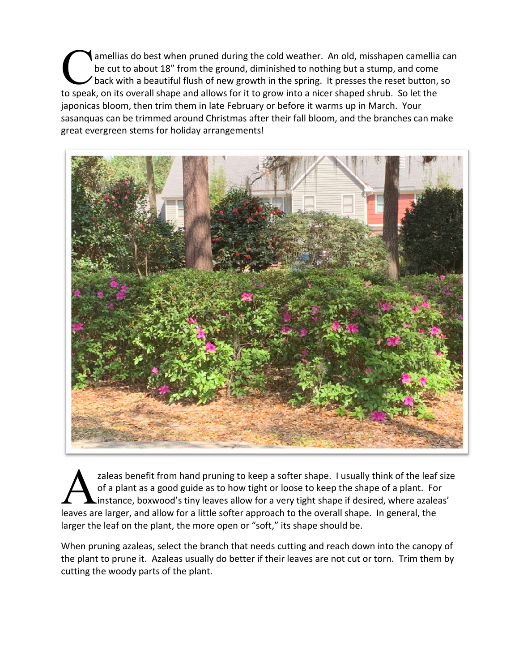amellias do best when pruned during the cold weather. An old, misshapen camellia can be cut to about 18" from the ground, diminished to nothing but a stump, and come back with a beautiful flush of new growth in the spring. It presses the reset button, so amellias do best when pruned during the cold weather. An old, misshapen camellia<br>be cut to about 18" from the ground, diminished to nothing but a stump, and come<br>back with a beautiful flush of new growth in the spring. It japonicas bloom, then trim them in late February or before it warms up in March. Your sasanquas can be trimmed around Christmas after their fall bloom, and the branches can make great evergreen stems for holiday arrangements!



zaleas benefit from hand pruning to keep a softer shape. I usually think of the leaf size of a plant as a good guide as to how tight or loose to keep the shape of a plant. For instance, boxwood's tiny leaves allow for a very tight shape if desired, where azaleas' zaleas benefit from hand pruning to keep a softer shape. I usually think of the leaf of a plant as a good guide as to how tight or loose to keep the shape of a plant. Fo instance, boxwood's tiny leaves allow for a very tig larger the leaf on the plant, the more open or "soft," its shape should be.

When pruning azaleas, select the branch that needs cutting and reach down into the canopy of the plant to prune it. Azaleas usually do better if their leaves are not cut or torn. Trim them by cutting the woody parts of the plant.